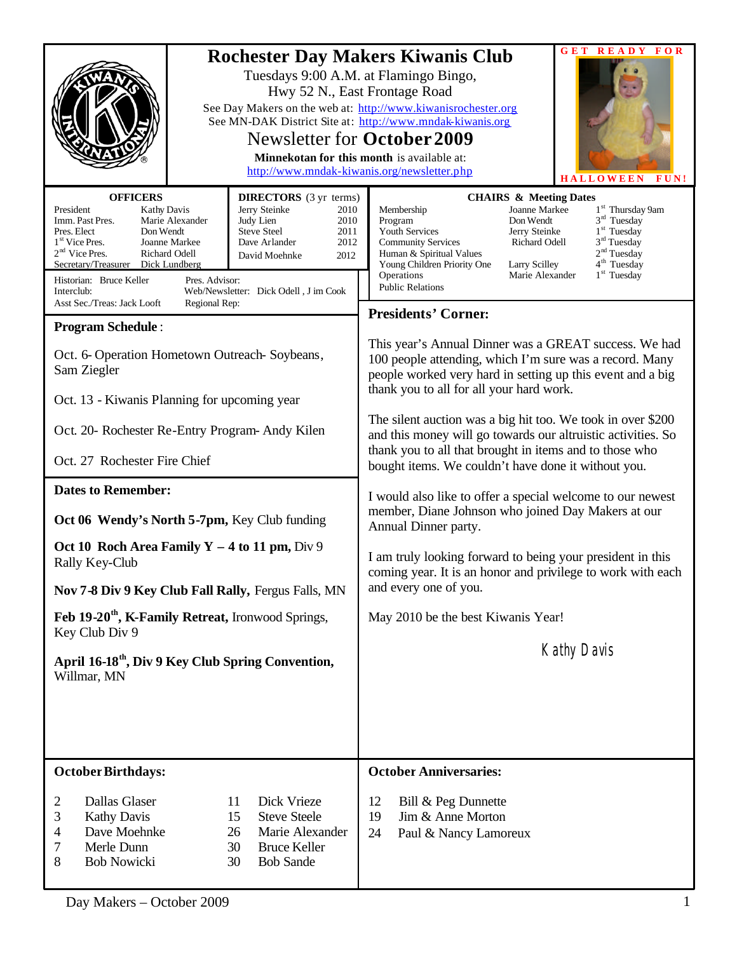|                                                                                                                                                                                                                                                                                                                                                                                                                                                                                                                  | <b>GET READY FOR</b><br><b>Rochester Day Makers Kiwanis Club</b>                                                                                                                                                                                                                                                                                                                                                                                                                                       |  |  |
|------------------------------------------------------------------------------------------------------------------------------------------------------------------------------------------------------------------------------------------------------------------------------------------------------------------------------------------------------------------------------------------------------------------------------------------------------------------------------------------------------------------|--------------------------------------------------------------------------------------------------------------------------------------------------------------------------------------------------------------------------------------------------------------------------------------------------------------------------------------------------------------------------------------------------------------------------------------------------------------------------------------------------------|--|--|
|                                                                                                                                                                                                                                                                                                                                                                                                                                                                                                                  | Tuesdays 9:00 A.M. at Flamingo Bingo,<br>Hwy 52 N., East Frontage Road<br>See Day Makers on the web at: http://www.kiwanisrochester.org<br>See MN-DAK District Site at: http://www.mndak-kiwanis.org<br>Newsletter for <b>October 2009</b><br>Minnekotan for this month is available at:<br>http://www.mndak-kiwanis.org/newsletter.php<br><b>HALLOWEEN</b><br>FUN!                                                                                                                                    |  |  |
| <b>OFFICERS</b><br><b>DIRECTORS</b> (3 yr terms)<br>President<br>Jerry Steinke<br><b>Kathy Davis</b><br>2010<br>Judy Lien<br>Imm. Past Pres.<br>Marie Alexander<br>2010<br><b>Steve Steel</b><br>Pres. Elect<br>Don Wendt<br>2011<br>1 <sup>st</sup> Vice Pres.<br>Dave Arlander<br>2012<br>Joanne Markee<br>$2nd$ Vice Pres.<br>Richard Odell<br>2012<br>David Moehnke<br>Secretary/Treasurer Dick Lundberg<br>Historian: Bruce Keller<br>Pres. Advisor:<br>Web/Newsletter: Dick Odell, J im Cook<br>Interclub: | <b>CHAIRS &amp; Meeting Dates</b><br>1 <sup>st</sup> Thursday 9am<br>Joanne Markee<br>Membership<br>3 <sup>rd</sup> Tuesday<br>Don Wendt<br>Program<br>$1st$ Tuesday<br>Youth Services<br>Jerry Steinke<br>3 <sup>rd</sup> Tuesday<br><b>Community Services</b><br><b>Richard Odell</b><br>2 <sup>nd</sup> Tuesday<br>Human & Spiritual Values<br>4 <sup>th</sup> Tuesday<br>Young Children Priority One<br>Larry Scilley<br>$1st$ Tuesday<br>Operations<br>Marie Alexander<br><b>Public Relations</b> |  |  |
| Asst Sec./Treas: Jack Looft<br>Regional Rep:                                                                                                                                                                                                                                                                                                                                                                                                                                                                     | <b>Presidents' Corner:</b>                                                                                                                                                                                                                                                                                                                                                                                                                                                                             |  |  |
| <b>Program Schedule:</b><br>Oct. 6- Operation Hometown Outreach-Soybeans,<br>Sam Ziegler                                                                                                                                                                                                                                                                                                                                                                                                                         | This year's Annual Dinner was a GREAT success. We had<br>100 people attending, which I'm sure was a record. Many<br>people worked very hard in setting up this event and a big<br>thank you to all for all your hard work.                                                                                                                                                                                                                                                                             |  |  |
| Oct. 13 - Kiwanis Planning for upcoming year                                                                                                                                                                                                                                                                                                                                                                                                                                                                     |                                                                                                                                                                                                                                                                                                                                                                                                                                                                                                        |  |  |
| Oct. 20- Rochester Re-Entry Program-Andy Kilen                                                                                                                                                                                                                                                                                                                                                                                                                                                                   | The silent auction was a big hit too. We took in over \$200<br>and this money will go towards our altruistic activities. So<br>thank you to all that brought in items and to those who                                                                                                                                                                                                                                                                                                                 |  |  |
| Oct. 27 Rochester Fire Chief                                                                                                                                                                                                                                                                                                                                                                                                                                                                                     | bought items. We couldn't have done it without you.                                                                                                                                                                                                                                                                                                                                                                                                                                                    |  |  |
| <b>Dates to Remember:</b>                                                                                                                                                                                                                                                                                                                                                                                                                                                                                        | I would also like to offer a special welcome to our newest<br>member, Diane Johnson who joined Day Makers at our<br>Annual Dinner party.                                                                                                                                                                                                                                                                                                                                                               |  |  |
| Oct 06 Wendy's North 5-7pm, Key Club funding                                                                                                                                                                                                                                                                                                                                                                                                                                                                     |                                                                                                                                                                                                                                                                                                                                                                                                                                                                                                        |  |  |
| Oct 10 Roch Area Family $Y - 4$ to 11 pm, Div 9<br>Rally Key-Club                                                                                                                                                                                                                                                                                                                                                                                                                                                | I am truly looking forward to being your president in this<br>coming year. It is an honor and privilege to work with each                                                                                                                                                                                                                                                                                                                                                                              |  |  |
| Nov 7-8 Div 9 Key Club Fall Rally, Fergus Falls, MN                                                                                                                                                                                                                                                                                                                                                                                                                                                              | and every one of you.                                                                                                                                                                                                                                                                                                                                                                                                                                                                                  |  |  |
| Feb 19-20 <sup>th</sup> , K-Family Retreat, Ironwood Springs,<br>Key Club Div 9                                                                                                                                                                                                                                                                                                                                                                                                                                  | May 2010 be the best Kiwanis Year!                                                                                                                                                                                                                                                                                                                                                                                                                                                                     |  |  |
| April 16-18 <sup>th</sup> , Div 9 Key Club Spring Convention,<br>Willmar, MN                                                                                                                                                                                                                                                                                                                                                                                                                                     | <b>Kathy Davis</b>                                                                                                                                                                                                                                                                                                                                                                                                                                                                                     |  |  |
|                                                                                                                                                                                                                                                                                                                                                                                                                                                                                                                  |                                                                                                                                                                                                                                                                                                                                                                                                                                                                                                        |  |  |
| <b>October Birthdays:</b><br>Dallas Glaser<br>11<br>Dick Vrieze<br>2<br>3<br>15<br><b>Steve Steele</b><br><b>Kathy Davis</b><br>Dave Moehnke<br>4<br>26<br>Marie Alexander<br>Merle Dunn<br>7<br>30<br><b>Bruce Keller</b><br>8<br><b>Bob Nowicki</b><br><b>Bob Sande</b><br>30                                                                                                                                                                                                                                  | <b>October Anniversaries:</b><br>12<br>Bill & Peg Dunnette<br>Jim & Anne Morton<br>19<br>24<br>Paul & Nancy Lamoreux                                                                                                                                                                                                                                                                                                                                                                                   |  |  |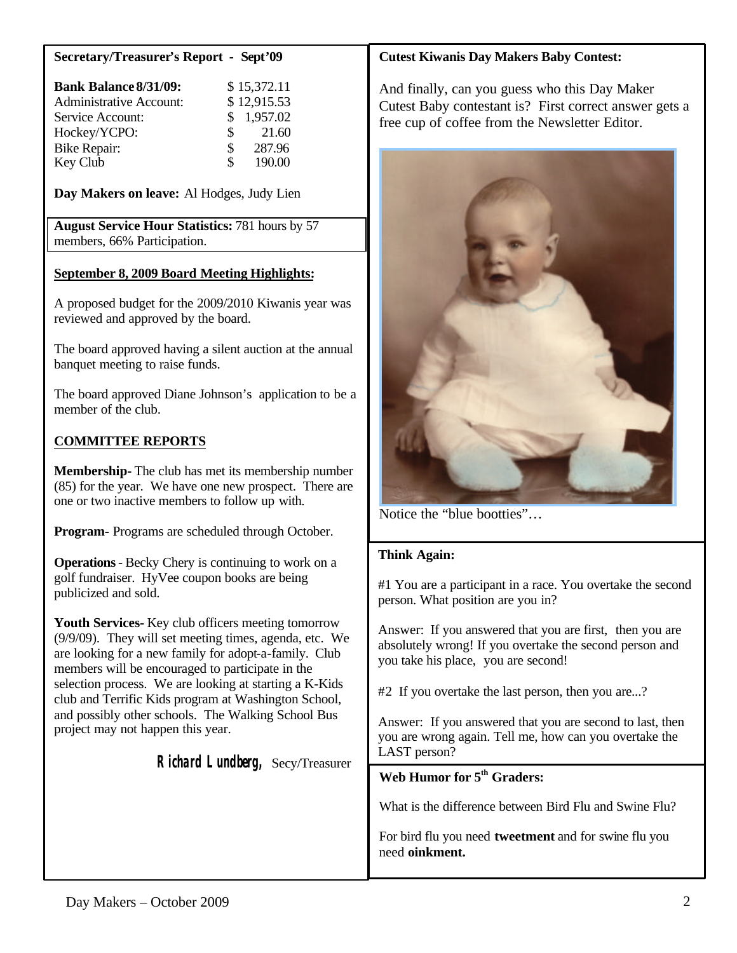#### **Secretary/Treasurer's Report - Sept'09**

| <b>Bank Balance 8/31/09:</b>   |     | \$15,372.11 |
|--------------------------------|-----|-------------|
| <b>Administrative Account:</b> |     | \$12,915.53 |
| Service Account:               |     | \$1,957.02  |
| Hockey/YCPO:                   | SS. | 21.60       |
| <b>Bike Repair:</b>            | S   | 287.96      |
| Key Club                       | \$  | 190.00      |

**Day Makers on leave:** Al Hodges, Judy Lien

**August Service Hour Statistics:** 781 hours by 57 members, 66% Participation.

#### **September 8, 2009 Board Meeting Highlights:**

A proposed budget for the 2009/2010 Kiwanis year was reviewed and approved by the board.

The board approved having a silent auction at the annual banquet meeting to raise funds.

The board approved Diane Johnson's application to be a member of the club.

## **COMMITTEE REPORTS**

**Membership-** The club has met its membership number (85) for the year. We have one new prospect. There are one or two inactive members to follow up with.

**Program-** Programs are scheduled through October.

**Operations**- Becky Chery is continuing to work on a golf fundraiser. HyVee coupon books are being publicized and sold.

**Youth Services-** Key club officers meeting tomorrow (9/9/09). They will set meeting times, agenda, etc. We are looking for a new family for adopt-a-family. Club members will be encouraged to participate in the selection process. We are looking at starting a K-Kids club and Terrific Kids program at Washington School, and possibly other schools. The Walking School Bus project may not happen this year.

 **Richard Lundberg,** Secy/Treasurer

#### **Cutest Kiwanis Day Makers Baby Contest:**

And finally, can you guess who this Day Maker Cutest Baby contestant is? First correct answer gets a free cup of coffee from the Newsletter Editor.



Notice the "blue bootties"…

#### **Think Again:**

#1 You are a participant in a race. You overtake the second person. What position are you in?

Answer: If you answered that you are first, then you are absolutely wrong! If you overtake the second person and you take his place, you are second!

#2 If you overtake the last person, then you are...?

Answer: If you answered that you are second to last, then you are wrong again. Tell me, how can you overtake the LAST person?

**Web Humor for 5th Graders:**

What is the difference between Bird Flu and Swine Flu?

For bird flu you need **tweetment** and for swine flu you need **oinkment.**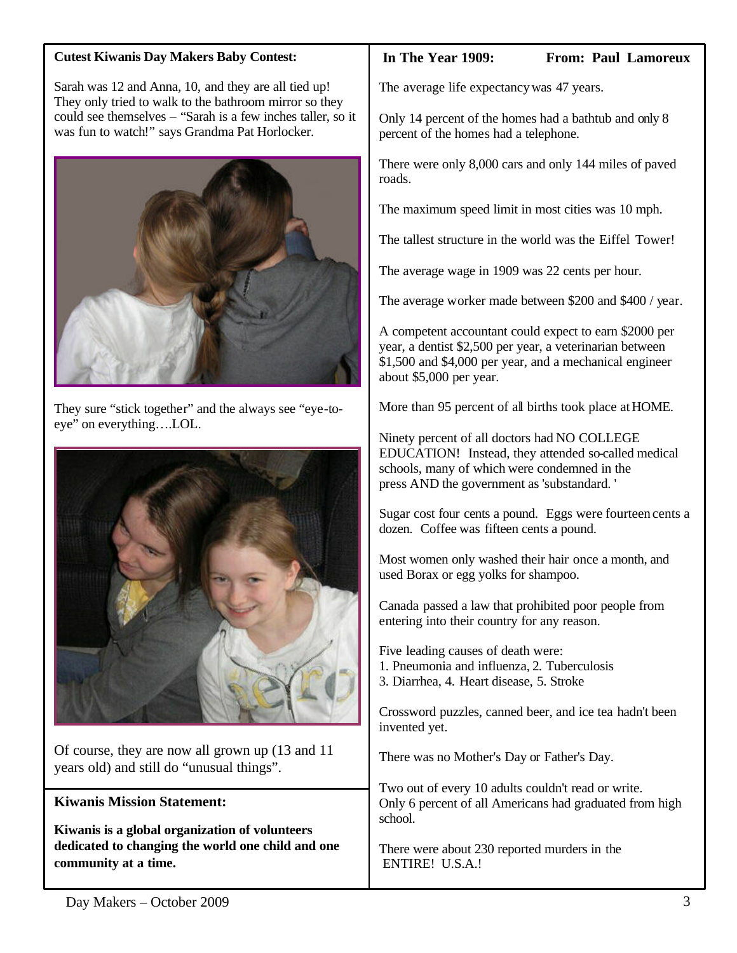### **Cutest Kiwanis Day Makers Baby Contest:**

Sarah was 12 and Anna, 10, and they are all tied up! They only tried to walk to the bathroom mirror so they could see themselves – "Sarah is a few inches taller, so it was fun to watch!" says Grandma Pat Horlocker.



They sure "stick together" and the always see "eye-toeye" on everything….LOL.



Of course, they are now all grown up (13 and 11 years old) and still do "unusual things".

# **Kiwanis Mission Statement:**

**Kiwanis is a global organization of volunteers dedicated to changing the world one child and one community at a time.**

#### **In The Year 1909: From: Paul Lamoreux**

The average life expectancywas 47 years.

Only 14 percent of the homes had a bathtub and only 8 percent of the homes had a telephone.

There were only 8,000 cars and only 144 miles of paved roads.

The maximum speed limit in most cities was 10 mph.

The tallest structure in the world was the Eiffel Tower!

The average wage in 1909 was 22 cents per hour.

The average worker made between \$200 and \$400 / year.

A competent accountant could expect to earn \$2000 per year, a dentist \$2,500 per year, a veterinarian between \$1,500 and \$4,000 per year, and a mechanical engineer about \$5,000 per year.

More than 95 percent of all births took place at HOME.

Ninety percent of all doctors had NO COLLEGE EDUCATION! Instead, they attended so-called medical schools, many of which were condemned in the press AND the government as 'substandard. '

Sugar cost four cents a pound. Eggs were fourteen cents a dozen. Coffee was fifteen cents a pound.

Most women only washed their hair once a month, and used Borax or egg yolks for shampoo.

Canada passed a law that prohibited poor people from entering into their country for any reason.

Five leading causes of death were:

- 1. Pneumonia and influenza, 2. Tuberculosis
- 3. Diarrhea, 4. Heart disease, 5. Stroke

Crossword puzzles, canned beer, and ice tea hadn't been invented yet.

There was no Mother's Day or Father's Day.

Two out of every 10 adults couldn't read or write. Only 6 percent of all Americans had graduated from high school.

There were about 230 reported murders in the ENTIRE! U.S.A.!